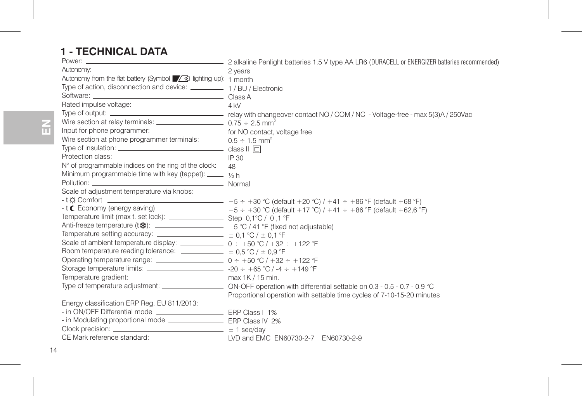# **1 - TECHNICAL DATA**

| Autonomy: 2 years                                                                                                                                                                                                                                                                          |                                                                                                                                     |
|--------------------------------------------------------------------------------------------------------------------------------------------------------------------------------------------------------------------------------------------------------------------------------------------|-------------------------------------------------------------------------------------------------------------------------------------|
| Autonomy from the flat battery (Symbol / 4 lighting up): 1 month                                                                                                                                                                                                                           |                                                                                                                                     |
| Type of action, disconnection and device: __________ 1 / BU / Electronic                                                                                                                                                                                                                   |                                                                                                                                     |
|                                                                                                                                                                                                                                                                                            |                                                                                                                                     |
|                                                                                                                                                                                                                                                                                            |                                                                                                                                     |
|                                                                                                                                                                                                                                                                                            |                                                                                                                                     |
| Wire section at relay terminals: $0.75 \div 2.5$ mm <sup>2</sup>                                                                                                                                                                                                                           |                                                                                                                                     |
| Input for phone programmer: _________________________ for NO contact, voltage free                                                                                                                                                                                                         |                                                                                                                                     |
| Wire section at phone programmer terminals: $\frac{m}{2}$ 0.5 ÷ 1.5 mm <sup>2</sup>                                                                                                                                                                                                        |                                                                                                                                     |
| Type of insulation: $\qquad \qquad$ class $\parallel \Box$                                                                                                                                                                                                                                 |                                                                                                                                     |
|                                                                                                                                                                                                                                                                                            |                                                                                                                                     |
| $N^{\circ}$ of programmable indices on the ring of the clock: $\_\,$ 48                                                                                                                                                                                                                    |                                                                                                                                     |
| Minimum programmable time with key (tappet): _____ 1/6 h                                                                                                                                                                                                                                   |                                                                                                                                     |
|                                                                                                                                                                                                                                                                                            |                                                                                                                                     |
| Scale of adiustment temperature via knobs:                                                                                                                                                                                                                                                 |                                                                                                                                     |
|                                                                                                                                                                                                                                                                                            |                                                                                                                                     |
|                                                                                                                                                                                                                                                                                            | $\mathsf{t} \in \mathsf{E}$ Economy (energy saving) ________________ +5 ÷ +30 °C (default +17 °C) / +41 ÷ +86 °F (default +62,6 °F) |
|                                                                                                                                                                                                                                                                                            |                                                                                                                                     |
| Anti-freeze temperature (t※): ___________________ +5 °C / 41 °F (fixed not adjustable)                                                                                                                                                                                                     |                                                                                                                                     |
| Temperature setting accuracy: $\frac{1}{2}$ = 0.1 °C / $\pm$ 0.1 °F                                                                                                                                                                                                                        |                                                                                                                                     |
| Scale of ambient temperature display: $\frac{1}{2}$ 0 ÷ +50 °C / +32 ÷ +122 °F                                                                                                                                                                                                             |                                                                                                                                     |
| Room temperature reading tolerance: $\frac{1}{2}$ $\pm$ 0.5 °C / $\pm$ 0.9 °F                                                                                                                                                                                                              |                                                                                                                                     |
| Operating temperature range: $\frac{1}{2}$ 0 ÷ +50 °C / +32 ÷ +122 °F                                                                                                                                                                                                                      |                                                                                                                                     |
| Storage temperature limits: _______________________________ -20 ÷ +65 °C / -4 ÷ +149 °F                                                                                                                                                                                                    |                                                                                                                                     |
|                                                                                                                                                                                                                                                                                            |                                                                                                                                     |
|                                                                                                                                                                                                                                                                                            |                                                                                                                                     |
|                                                                                                                                                                                                                                                                                            | Proportional operation with settable time cycles of 7-10-15-20 minutes                                                              |
| Energy classification ERP Reg. EU 811/2013:                                                                                                                                                                                                                                                |                                                                                                                                     |
| in ON/OFF Differential mode _____________________________ ERP Class I 1%                                                                                                                                                                                                                   |                                                                                                                                     |
|                                                                                                                                                                                                                                                                                            |                                                                                                                                     |
| Clock precision: $\frac{1}{2}$ and $\frac{1}{2}$ are $\frac{1}{2}$ are $\frac{1}{2}$ are $\frac{1}{2}$ are $\frac{1}{2}$ are $\frac{1}{2}$ are $\frac{1}{2}$ are $\frac{1}{2}$ are $\frac{1}{2}$ are $\frac{1}{2}$ are $\frac{1}{2}$ are $\frac{1}{2}$ are $\frac{1}{2}$ are $\frac{1}{2}$ |                                                                                                                                     |
|                                                                                                                                                                                                                                                                                            |                                                                                                                                     |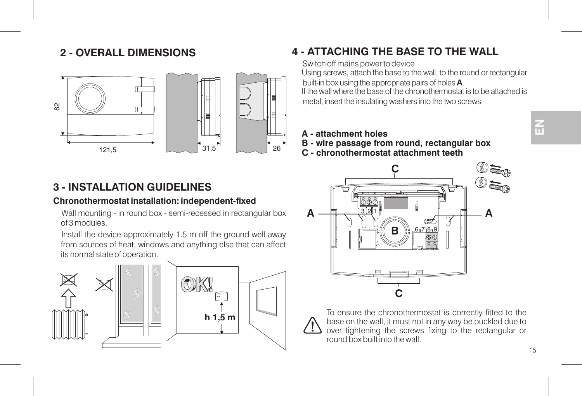## **2 - OVERALL DIMENSIONS**



# **3 - INSTALLATION GUIDELINES**

### **Chronothermostat installation: independent-fixed**

Wall mounting - in round box - semi-recessed in rectangular box of 3 modules.

Install the device approximately 1.5 <sup>m</sup> off the ground well away from sources of heat, windows and anything else that can affect its normal state of operation.



# **4 - ATTACHING THE BASE TO THE WALL**

Switch off mains power to device Using screws, attach the base to the wall, to the round or rectangular built-in box using the appropriate pairs of holes **A**.

If the wall where the base of the chronothermostat is to be attached ismetal, insert the insulating washers into the two screws.

- **A attachment holes**
- **B wire passage from round, rectangular box**
- **C chronothermostat attachment teeth**



To ensure the chronothermostat is correctly fitted to the base on the wall, it must not in any way be buckled due to over tightening the screws fixing to the rectangular or round box built into the wall.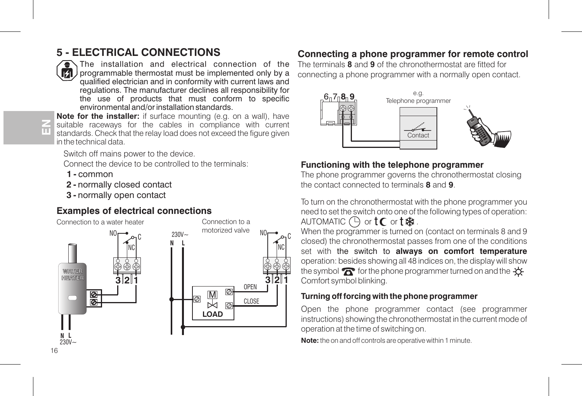# **5 - ELECTRICAL CONNECTIONS**



The installation and electrical connection of theprogrammable thermostat must be implemented only by a qualified electrician and in conformity with current laws and regulations. The manufacturer declines all responsibility for the use of products that must conform to specific environmental and/or installation standards.

### **GFEN**

**Note for the installer:** if surface mounting (e.g. on <sup>a</sup> wall), have suitable raceways for the cables in compliance with current standards. Check that the relay load does not exceed the figure given in the technical data.

Switch off mains power to the device.

Connect the device to be controlled to the terminals:

- **1 -** common
- **2 -** normally closed contact
- **3 -** normally open contact

### **Examples of electrical connections**

Connection to a water heater





### **Connecting a phone programmer for remote control**

The terminals **8** and **9** of the chronothermostat are fitted for connecting a phone programmer with a normally open contact.



### **Functioning with the telephone programmer**

The phone programmer governs the chronothermostat closing the contact connected to terminals **8** and **9**.

To turn on the chronothermostat with the phone programmer you need to set the switch onto one of the following types of operation: a and anomatic (  $\vdash$  or  $\mathsf{t} \mathsf{C}$  or  $\mathsf{t} \mathcal{R}$  .

When the programmer is turned on (contact on terminals 8 and 9 closed) the chronothermostat passes from one of the conditions set with the switch to **always on comfort temperature** operation: besides showing all 48 indices on, the display will show the symbol  $\widehat{K}$  for the phone programmer turned on and the  $\ddot{\circ}$ Comfort symbol blinking.

### **Turning off forcing with the phone programmer**

Open the phone programmer contact (see programmer instructions) showing the chronothermostat in the current mode of operation at the time of switching on.

**Note:** the on and off controls are operative within 1 minute.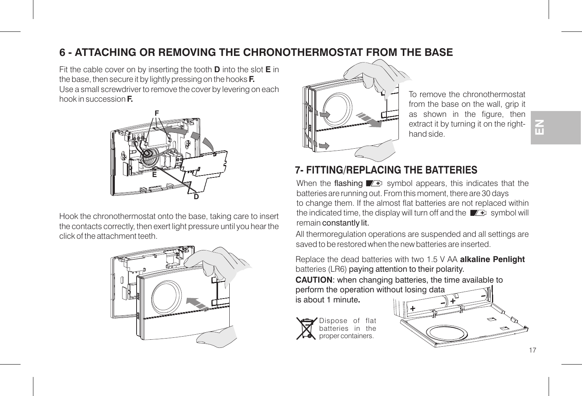# **6 - ATTACHING OR REMOVING THE CHRONOTHERMOSTAT FROM THE BASE**

Fit the cable cover on by inserting the tooth  $\bf{D}$  into the slot  $\bf{E}$  in the base, then secure it by lightly pressing on the hooks **F.** Use <sup>a</sup> small screwdriver to remove the cover by levering on each hook in succession **F.**



Hook the chronothermostat onto the base, taking care to insert the contacts correctly, then exert light pressure until you hear the click of the attachment teeth.





To remove the chronothermostatfrom the base on the wall, grip it as shown in the figure, then extract it by turning it on the righthand side.

# **7- FITTING/REPLACING THE BATTERIES**

When the flashing  $\sqrt{p}$  symbol appears, this indicates that the batteries are running out. From this moment, there are 30 days to change them. If the almost flat batteries are not replaced within the indicated time, the display will turn off and the  $\blacksquare$  symbol will remain constantly lit.

All thermoregulation operations are suspended and all settings are saved to be restored when the new batteries are inserted.

Replace the dead batteries with two 1.5 V AA **alkaline Penlight** batteries (LR6) paying attention to their polarity.

**CAUTION**: when changing batteries, the time available to perform the operation without losing data

is about 1 minute**.**



ispose of flat batteries in theproper containers.

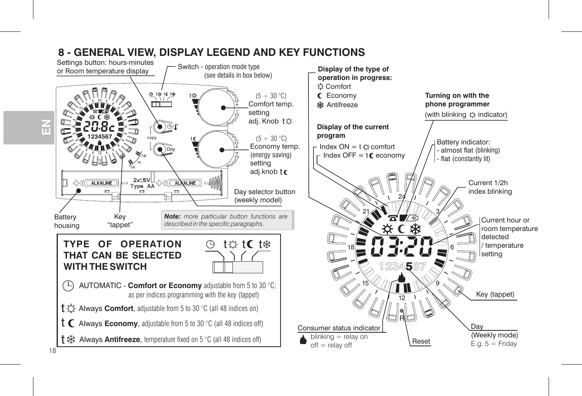

# **8 - GENERAL VIEW, DISPLAY LEGEND AND KEY FUNCTIONS**

**FEN**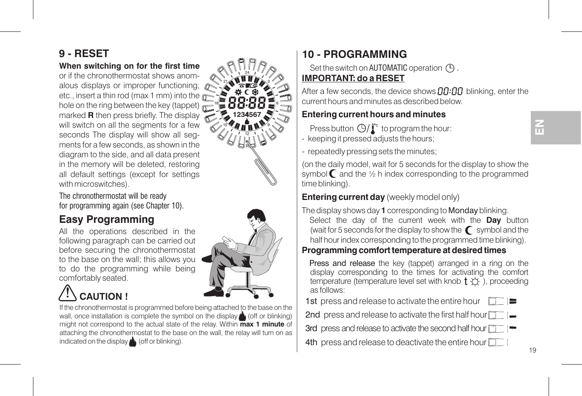# **9 - RESET**

### **When switching on for the first time**

or if the chronothermostat shows anomalous displays or improper functioning, etc., insert <sup>a</sup> thin rod (max 1 mm) into the hole on the ring between the key (tappet) marked **R** then press briefly. The display will switch on all the segments for a few seconds The display will show all segments for <sup>a</sup> few seconds, as shown in the diagram to the side, and all data present in the memory will be deleted, restoring all default settings (except for settings with microswitches).

The chronothermostat will be ready for programming again (see Chapter 10).

# **Easy Programming**

All the operations described in the following paragraph can be carried out before securing the chronothermostat to the base on the wall; this allows you to do the programming while being comfortably seated.

# **CAUTION !**

If the chronothermostat is programmed before being attached to the base on the wall, once installation is complete the symbol on the display  $\triangle$  (off or blinking) might not correspond to the actual state of the relay. Within  $\overline{\text{max}}$  **1** minute of attaching the chronothermostat to the base on the wall, the relay will turn on as indicated on the display (off or blinking).

# **1 - PROGRAMMING 0**

Set the switch on AUTOMATIC operation  $\left(\bigcap_{n=1}^{\infty} \mathcal{L}_{n}\right)$ **IMPORTANT: do a RESET**

After a few seconds, the device shows  $\Box\Box\Box$  blinking, enter the current hours and minutes as described below.

### **Entering current hours and minutes**

Press button  $\mathbb{G}/\mathbb{F}$  to program the hour:

- keeping it pressed adjusts the hours;
- repeatedly pressing sets the minutes;

(on the daily model, wait for 5 seconds for the display to show the symbol  $\mathbb C$  and the  $\frac{1}{2}$  h index corresponding to the programmed time blinking).

### **Entering current day** (weekly model only)

The display shows day 1 corresponding to **Monday** blinking.

Select the day of the current week with the **Day** button (wait for 5 seconds for the display to show the  $\bigcap$  symbol and the half hour index corresponding to the programmed time blinking).

Press and release the key (tappet) arranged in <sup>a</sup> ring on the display corresponding to the times for activating the comfort temperature (temperature level set with knob  $\dagger$   $\leftrightarrow$  ), proceeding as follows:

**1st** press and release to activate the entire hour □□≡

2nd press and release to activate the first half hour

**3rd** press and release to activate the second half hour

4th press and release to deactivate the entire hour





R

**123 5674**

1815 96

# **EN**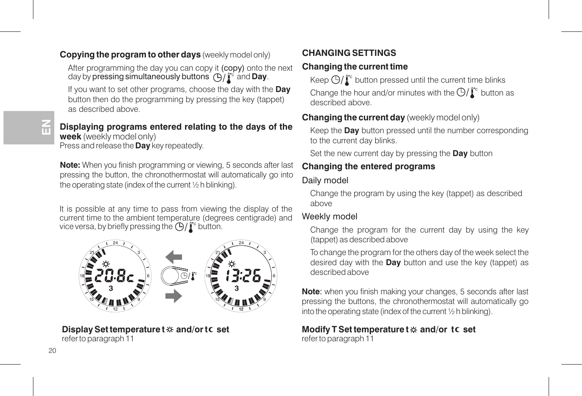### **Copying the program to other days** (weekly model only)

After programming the day you can copy it (copy) onto the next day by **pressing simultaneously buttons**  $\bigoplus/\int_{\Gamma}$  and **Day**.

If you want to set other programs, choose the day with the **Day** button then do the programming by pressing the key (tappet) as described above.

### **Displaying programs entered relating to the days of the week** (weekly model only) Press and release the **Day** key repeatedly.

**Note:** When you finish programming or viewing, 5 seconds after last pressing the button, the chronothermostat will automatically go into the operating state (index of the current ½ h blinking).

It is possible at any time to pass from viewing the display of the current time to the ambient temperature (degrees centigrade) and vice versa, by briefly pressing the  $\left(\frac{n}{2}\right)^n$  button.

#### 212961815**3** $\sum_{i=1}^{N} B_i$ 2129618**3**

**Display Set temperature and/or set t t** refer to paragraph 11

### **CHANGING SETTINGS**

### **Changing the current time**

Keep  $\bigoplus/\mathbb{I}^\circ$  button pressed until the current time blinks Change the hour and/or minutes with the  $\Theta/\Gamma$  button as described above.

### **Changing the current day** (weekly model only)

Keep the **Day** button pressed until the number corresponding to the current day blinks.

Set the new current day by pressing the **Day** button

### **Changing the entered programs**

### Daily model

Change the program by using the key (tappet) as described above

### Weekly model

Change the program for the current day by using the key (tappet) as described above

To change the program for the others day of the week select the desired day with the **Day** button and use the key (tappet) as described above

**Note**: when you finish making your changes, 5 seconds after last pressing the buttons, the chronothermostat will automatically go into the operating state (index of the current ½ h blinking).

### **Modify T Set temperature and/or set t t** refer to paragraph 11

**GFEN**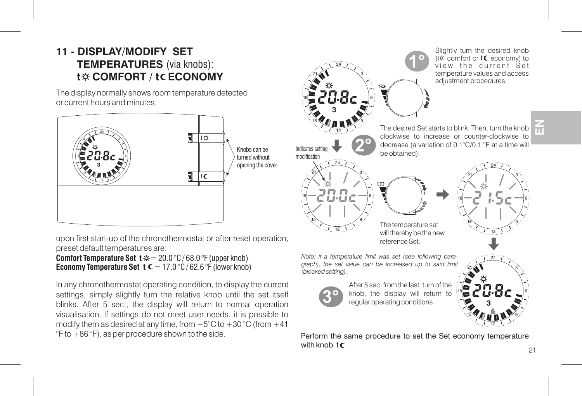# **11 - DISPLAY/MODIFY SET TEMPERATURES** (via knobs): **t\* COMFORT / tCECONOMY**

The display normally shows room temperature detected or current hours and minutes.



upon first start-up of the chronothermostat or after reset operation. preset default temperatures are:

**Comfort Temperature Set**  $\mathbf{t} \approx 20.0 \degree C / 68.0 \degree F$  **(upper knob) Economy Temperature Set**  $\mathbf{t} \mathbf{c} = 17.0 \degree C / 62.6 \degree F$  **(lower knob)** 

In any chronothermostat operating condition, to display the current settings, simply slightly turn the relative knob until the set itself blinks. After 5 sec., the display will return to normal operation visualisation. If settings do not meet user needs, it is possible to modify them as desired at any time, from  $+5^{\circ}$ C to  $+30^{\circ}$ C (from  $+41$ ) °F to +86 °F), as per procedure shown to the side.

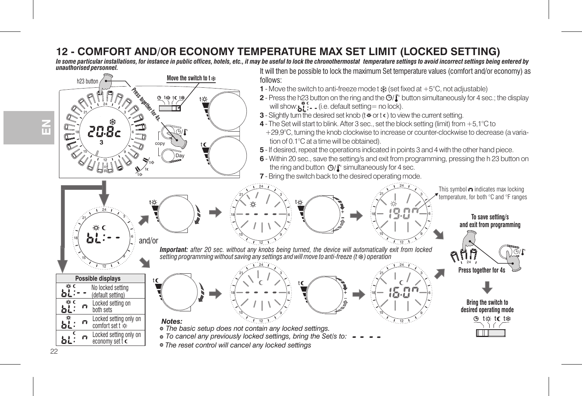## **12 - COMFORT AND/OR ECONOMY TEMPERATURE MAX SET LIMIT (LOCKED SETTING)**

In some particular installations, for instance in public offices, hotels, etc., it may be useful to lock the chronothermostal temperature settings to avoid incorrect settings being entered by<br>—————————————————————————————— *It will then be possible to lock the maximum Set temperature values (comfort and/or economy) as* 



**G FEN**

 $22$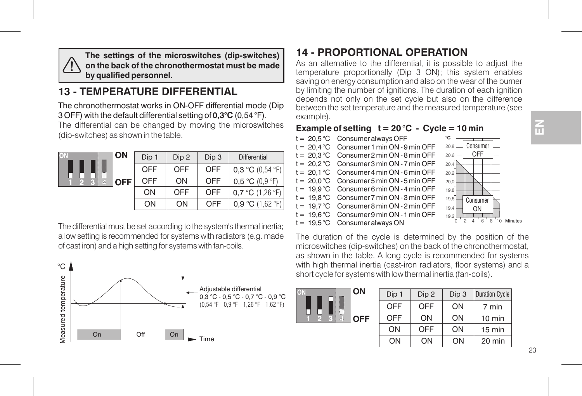

**The settings of the microswitches (dip-switches) on the back of the chronothermostat must be madeby qualified personnel.**

# **13 - TEMPERATURE DIFFERENTIAL**

The chronothermostat works in ON-OFF differential mode (Dip 3 OFF) with the default differential setting of (0,54 °F) **0,3°C** .

The differential can be changed by moving the microswitches (dip-switches) as shown in the table.

| <b>ON</b>              | Dip 1 | Dip 2 | Dip 3 | <b>Differential</b>                |
|------------------------|-------|-------|-------|------------------------------------|
|                        | OFF   | OFF   | OFF   | 0.3 °C $(0.54 \text{ }^{\circ}F)$  |
| نسا<br>쵧<br><b>OFF</b> | OFF   | ON    | OFF   | 0.5 °C (0.9 °F)                    |
|                        | ON    | OFF   | OFF   | 0.7 °C $(1.26 \text{ } ^{\circ}F)$ |
|                        | ON    | ON    | OFF   | 0.9 °C (1.62 °F)                   |

The differential must be set according to the system's thermal inertia; <sup>a</sup> low setting is recommended for systems with radiators (e.g. made of cast iron) and <sup>a</sup> high setting for systems with fan-coils.



# **14 - PROPORTIONAL OPERATION**

As an alternative to the differential, it is possible to adjust the temperature proportionally (Dip 3 ON); this system enables saving on energy consumption and also on the wear of the burner by limiting the number of ignitions. The duration of each ignition depends not only on the set cycle but also on the difference between the set temperature and the measured temperature (see example).

### **Example of setting**  $t = 20$  °C  $\cdot$  Cycle = 10 min

 $t = 20.5 \degree C$  Consumer always OFF  $t = 20.4$  °C Consumer 1 min ON - 9 min OFF  $t = 20.3 °C$  Consumer 2 min ON - 8 min OFF  $t = 20.2 °C$  Consumer 3 min ON - 7 min OFF  $t = 20.1 \degree C$  Consumer 4 min ON - 6 min OFF  $t = 20.0 °C$  Consumer 5 min ON - 5 min OFF  $t = 19.9$  °C Consumer 6 min ON - 4 min OFF  $t = 19.8 °C$  Consumer 7 min ON - 3 min OFF  $t = 19.7 °C$  Consumer 8 min ON - 2 min OFF  $t = 19.6^{\circ}$ C Consumer 9 min ON - 1 min OFF  $t = 19.5 \degree C$  Consumer always ON



The duration of the cycle is determined by the position of the microswitches (dip-switches) on the back of the chronothermostat, as shown in the table. A long cycle is recommended for systems with high thermal inertia (cast-iron radiators, floor systems) and a short cycle for systems with low thermal inertia (fan-coils).

|  | ı<br>ŀ          |   |
|--|-----------------|---|
|  | <b>CONGRESS</b> |   |
|  |                 | Έ |

| Dip 1      | Dip 2      | Dip 3 | Duration Cycle   |
|------------|------------|-------|------------------|
| <b>OFF</b> | <b>OFF</b> | ON    | 7 min            |
| <b>OFF</b> | ΟN         | ON    | $10 \text{ min}$ |
| ON         | <b>OFF</b> | ON    | $15 \text{ min}$ |
| ΩN         | NΩ         | ΩN    | 20 min           |

**EN**